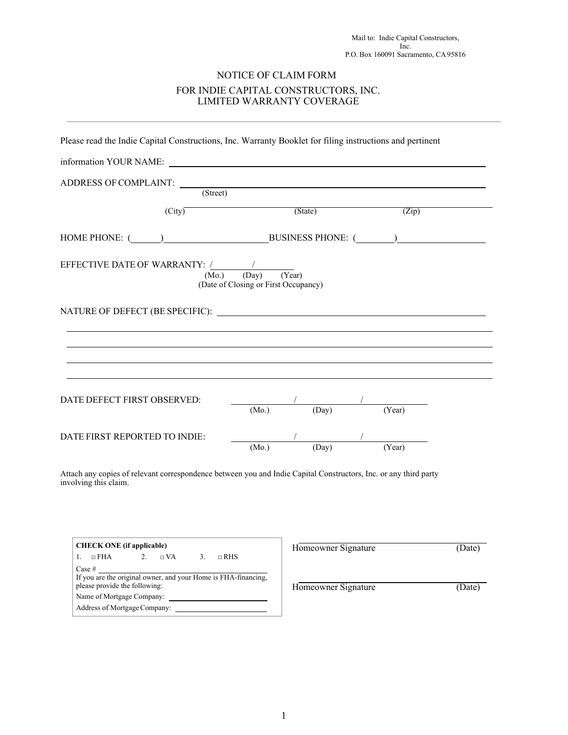## NOTICE OF CLAIM FORM FOR INDIE CAPITAL CONSTRUCTORS, INC. LIMITED WARRANTY COVERAGE

|                                | Please read the Indie Capital Constructions, Inc. Warranty Booklet for filing instructions and pertinent |                            |                                                                                                                                                                            |        |  |
|--------------------------------|----------------------------------------------------------------------------------------------------------|----------------------------|----------------------------------------------------------------------------------------------------------------------------------------------------------------------------|--------|--|
|                                | information YOUR NAME:                                                                                   |                            |                                                                                                                                                                            |        |  |
| ADDRESS OF COMPLAINT: (Street) |                                                                                                          |                            |                                                                                                                                                                            |        |  |
|                                | $\overline{\text{(City)}^-}$                                                                             |                            | (State)                                                                                                                                                                    | (Zip)  |  |
|                                |                                                                                                          |                            |                                                                                                                                                                            |        |  |
|                                | (Day)<br>(Mo.)<br>(Date of Closing or First Occupancy)                                                   | $\overline{\text{(Year)}}$ |                                                                                                                                                                            |        |  |
|                                |                                                                                                          |                            |                                                                                                                                                                            |        |  |
|                                |                                                                                                          |                            |                                                                                                                                                                            |        |  |
| DATE DEFECT FIRST OBSERVED:    |                                                                                                          | (Mo.)                      | $\begin{array}{c} \begin{array}{c} \begin{array}{c} \begin{array}{c} \end{array} \\ \begin{array}{c} \end{array} \end{array} \end{array} \end{array} \end{array}$<br>(Day) | (Year) |  |
| DATE FIRST REPORTED TO INDIE:  |                                                                                                          | (Mo.)                      | (Day)                                                                                                                                                                      | (Year) |  |

Attach any copies of relevant correspondence between you and Indie Capital Constructors, Inc. or any third party involving this claim.

| <b>CHECK ONE</b> (if applicable)                                                                                                                                       | Homeowner Signature | Date) |
|------------------------------------------------------------------------------------------------------------------------------------------------------------------------|---------------------|-------|
| $\Box$ RHS<br>$\Box$ FHA<br>$\Box$ VA                                                                                                                                  |                     |       |
| Case #<br>If you are the original owner, and your Home is FHA-financing,<br>please provide the following:<br>Name of Mortgage Company:<br>Address of Mortgage Company: | Homeowner Signature | Date) |